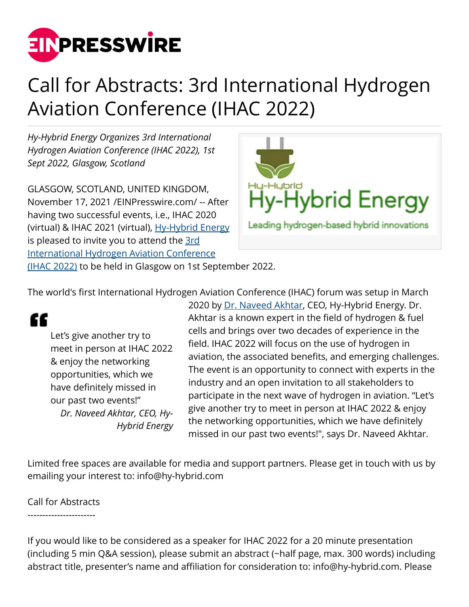

## Call for Abstracts: 3rd International Hydrogen Aviation Conference (IHAC 2022)

*Hy-Hybrid Energy Organizes 3rd International Hydrogen Aviation Conference (IHAC 2022), 1st Sept 2022, Glasgow, Scotland*

GLASGOW, SCOTLAND, UNITED KINGDOM, November 17, 2021 /[EINPresswire.com/](http://www.einpresswire.com) -- After having two successful events, i.e., IHAC 2020 (virtual) & IHAC 2021 (virtual), [Hy-Hybrid Energy](https://www.hy-hybrid.com/) is pleased to invite you to attend the [3rd](https://www.hy-hybrid.com/ihac-2022) [International Hydrogen Aviation Conference](https://www.hy-hybrid.com/ihac-2022) [\(IHAC 2022\)](https://www.hy-hybrid.com/ihac-2022) to be held in Glasgow on 1st September 2022.



The world's first International Hydrogen Aviation Conference (IHAC) forum was setup in March

## "

Let's give another try to meet in person at IHAC 2022 & enjoy the networking opportunities, which we have definitely missed in our past two events!" *Dr. Naveed Akhtar, CEO, Hy-Hybrid Energy*

2020 by [Dr. Naveed Akhtar](https://www.hy-hybrid.com/about-us), CEO, Hy-Hybrid Energy. Dr. Akhtar is a known expert in the field of hydrogen & fuel cells and brings over two decades of experience in the field. IHAC 2022 will focus on the use of hydrogen in aviation, the associated benefits, and emerging challenges. The event is an opportunity to connect with experts in the industry and an open invitation to all stakeholders to participate in the next wave of hydrogen in aviation. "Let's give another try to meet in person at IHAC 2022 & enjoy the networking opportunities, which we have definitely missed in our past two events!", says Dr. Naveed Akhtar.

Limited free spaces are available for media and support partners. Please get in touch with us by emailing your interest to: info@hy-hybrid.com

Call for Abstracts -----------------------

If you would like to be considered as a speaker for IHAC 2022 for a 20 minute presentation (including 5 min Q&A session), please submit an abstract (~half page, max. 300 words) including abstract title, presenter's name and affiliation for consideration to: info@hy-hybrid.com. Please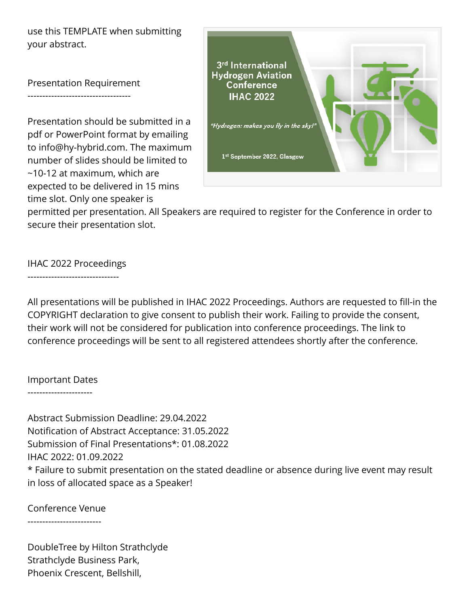use this TEMPLATE when submitting your abstract.

Presentation Requirement

-----------------------------------

Presentation should be submitted in a pdf or PowerPoint format by emailing to info@hy-hybrid.com. The maximum number of slides should be limited to ~10-12 at maximum, which are expected to be delivered in 15 mins time slot. Only one speaker is



permitted per presentation. All Speakers are required to register for the Conference in order to secure their presentation slot.

IHAC 2022 Proceedings

-------------------------------

All presentations will be published in IHAC 2022 Proceedings. Authors are requested to fill-in the COPYRIGHT declaration to give consent to publish their work. Failing to provide the consent, their work will not be considered for publication into conference proceedings. The link to conference proceedings will be sent to all registered attendees shortly after the conference.

## Important Dates

----------------------

Abstract Submission Deadline: 29.04.2022 Notification of Abstract Acceptance: 31.05.2022 Submission of Final Presentations\*: 01.08.2022 IHAC 2022: 01.09.2022 \* Failure to submit presentation on the stated deadline or absence during live event may result in loss of allocated space as a Speaker!

Conference Venue

-------------------------

DoubleTree by Hilton Strathclyde Strathclyde Business Park, Phoenix Crescent, Bellshill,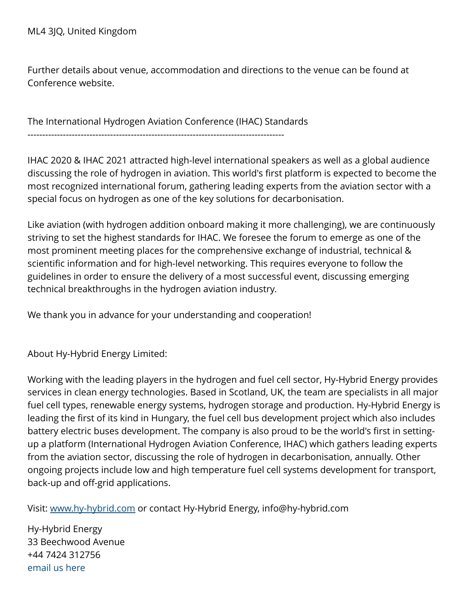Further details about venue, accommodation and directions to the venue can be found at Conference website.

The International Hydrogen Aviation Conference (IHAC) Standards

---------------------------------------------------------------------------------------

IHAC 2020 & IHAC 2021 attracted high-level international speakers as well as a global audience discussing the role of hydrogen in aviation. This world's first platform is expected to become the most recognized international forum, gathering leading experts from the aviation sector with a special focus on hydrogen as one of the key solutions for decarbonisation.

Like aviation (with hydrogen addition onboard making it more challenging), we are continuously striving to set the highest standards for IHAC. We foresee the forum to emerge as one of the most prominent meeting places for the comprehensive exchange of industrial, technical & scientific information and for high-level networking. This requires everyone to follow the guidelines in order to ensure the delivery of a most successful event, discussing emerging technical breakthroughs in the hydrogen aviation industry.

We thank you in advance for your understanding and cooperation!

About Hy-Hybrid Energy Limited:

Working with the leading players in the hydrogen and fuel cell sector, Hy-Hybrid Energy provides services in clean energy technologies. Based in Scotland, UK, the team are specialists in all major fuel cell types, renewable energy systems, hydrogen storage and production. Hy-Hybrid Energy is leading the first of its kind in Hungary, the fuel cell bus development project which also includes battery electric buses development. The company is also proud to be the world's first in settingup a platform (International Hydrogen Aviation Conference, IHAC) which gathers leading experts from the aviation sector, discussing the role of hydrogen in decarbonisation, annually. Other ongoing projects include low and high temperature fuel cell systems development for transport, back-up and off-grid applications.

Visit: [www.hy-hybrid.com](http://www.hy-hybrid.com) or contact Hy-Hybrid Energy, info@hy-hybrid.com

Hy-Hybrid Energy 33 Beechwood Avenue +44 7424 312756 [email us here](http://www.einpresswire.com/contact_author/3175549)